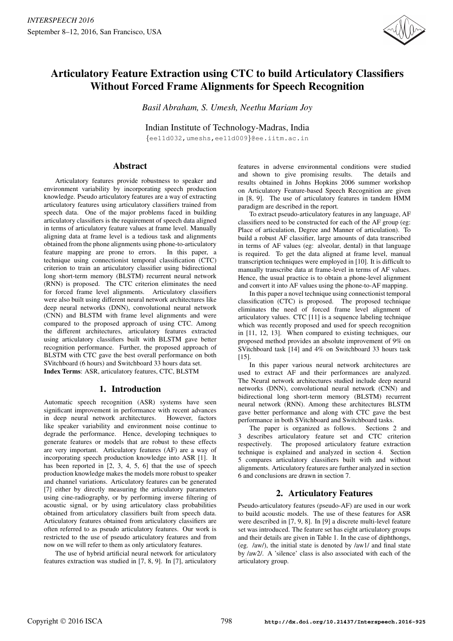

# Articulatory Feature Extraction using CTC to build Articulatory Classifiers Without Forced Frame Alignments for Speech Recognition

*Basil Abraham, S. Umesh, Neethu Mariam Joy*

Indian Institute of Technology-Madras, India

{ee11d032,umeshs,ee11d009}@ee.iitm.ac.in

### Abstract

Articulatory features provide robustness to speaker and environment variability by incorporating speech production knowledge. Pseudo articulatory features are a way of extracting articulatory features using articulatory classifiers trained from speech data. One of the major problems faced in building articulatory classifiers is the requirement of speech data aligned in terms of articulatory feature values at frame level. Manually aligning data at frame level is a tedious task and alignments obtained from the phone alignments using phone-to-articulatory feature mapping are prone to errors. In this paper, a technique using connectionist temporal classification (CTC) criterion to train an articulatory classifier using bidirectional long short-term memory (BLSTM) recurrent neural network (RNN) is proposed. The CTC criterion eliminates the need for forced frame level alignments. Articulatory classifiers were also built using different neural network architectures like deep neural networks (DNN), convolutional neural network (CNN) and BLSTM with frame level alignments and were compared to the proposed approach of using CTC. Among the different architectures, articulatory features extracted using articulatory classifiers built with BLSTM gave better recognition performance. Further, the proposed approach of BLSTM with CTC gave the best overall performance on both SVitchboard (6 hours) and Switchboard 33 hours data set. Index Terms: ASR, articulatory features, CTC, BLSTM

# 1. Introduction

Automatic speech recognition (ASR) systems have seen significant improvement in performance with recent advances in deep neural network architectures. However, factors like speaker variability and environment noise continue to degrade the performance. Hence, developing techniques to generate features or models that are robust to these effects are very important. Articulatory features (AF) are a way of incorporating speech production knowledge into ASR [1]. It has been reported in [2, 3, 4, 5, 6] that the use of speech production knowledge makes the models more robust to speaker and channel variations. Articulatory features can be generated [7] either by directly measuring the articulatory parameters using cine-radiography, or by performing inverse filtering of acoustic signal, or by using articulatory class probabilities obtained from articulatory classifiers built from speech data. Articulatory features obtained from articulatory classifiers are often referred to as pseudo articulatory features. Our work is restricted to the use of pseudo articulatory features and from now on we will refer to them as only articulatory features.

The use of hybrid artificial neural network for articulatory features extraction was studied in [7, 8, 9]. In [7], articulatory

features in adverse environmental conditions were studied and shown to give promising results. The details and results obtained in Johns Hopkins 2006 summer workshop on Articulatory Feature-based Speech Recognition are given in [8, 9]. The use of articulatory features in tandem HMM paradigm are described in the report.

To extract pseudo-articulatory features in any language, AF classifiers need to be constructed for each of the AF group (eg: Place of articulation, Degree and Manner of articulation). To build a robust AF classifier, large amounts of data transcribed in terms of AF values (eg: alveolar, dental) in that language is required. To get the data aligned at frame level, manual transcription techniques were employed in [10]. It is difficult to manually transcribe data at frame-level in terms of AF values. Hence, the usual practice is to obtain a phone-level alignment and convert it into AF values using the phone-to-AF mapping.

In this paper a novel technique using connectionist temporal classification (CTC) is proposed. The proposed technique eliminates the need of forced frame level alignment of articulatory values. CTC [11] is a sequence labeling technique which was recently proposed and used for speech recognition in [11, 12, 13]. When compared to existing techniques, our proposed method provides an absolute improvement of 9% on SVitchboard task [14] and 4% on Switchboard 33 hours task [15].

In this paper various neural network architectures are used to extract AF and their performances are analyzed. The Neural network architectures studied include deep neural networks (DNN), convolutional neural network (CNN) and bidirectional long short-term memory (BLSTM) recurrent neural network (RNN). Among these architectures BLSTM gave better performance and along with CTC gave the best performance in both SVitchboard and Switchboard tasks.

The paper is organized as follows. Sections 2 and 3 describes articulatory feature set and CTC criterion respectively. The proposed articulatory feature extraction technique is explained and analyzed in section 4. Section 5 compares articulatory classifiers built with and without alignments. Articulatory features are further analyzed in section 6 and conclusions are drawn in section 7.

# 2. Articulatory Features

Pseudo-articulatory features (pseudo-AF) are used in our work to build acoustic models. The use of these features for ASR were described in [7, 9, 8]. In [9] a discrete multi-level feature set was introduced. The feature set has eight articulatory groups and their details are given in Table 1. In the case of diphthongs, (eg. /aw/), the initial state is denoted by /aw1/ and final state by /aw2/. A 'silence' class is also associated with each of the articulatory group.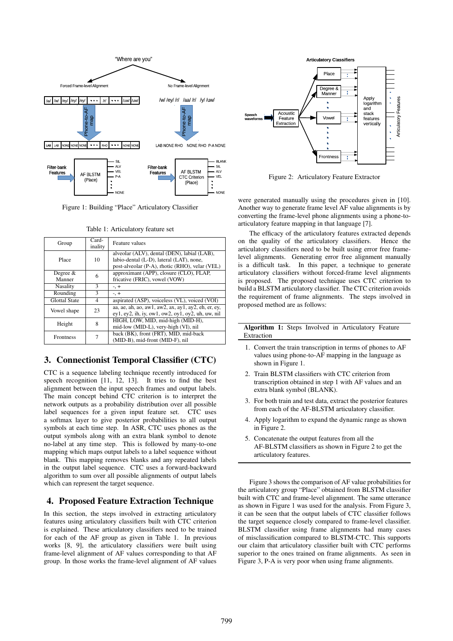

Figure 1: Building "Place" Articulatory Classifier

| Group                | Card-<br>inality | Feature values                                                                                                                            |
|----------------------|------------------|-------------------------------------------------------------------------------------------------------------------------------------------|
| Place                | 10               | alveolar (ALV), dental (DEN), labial (LAB),<br>labio-dental (L-D), lateral (LAT), none,<br>post-alveolar (P-A), rhotic (RHO), velar (VEL) |
| Degree $&$<br>Manner | 6                | approximant (APP), closure (CLO), FLAP,<br>fricative (FRIC), vowel (VOW)                                                                  |
| Nasality             | 3                | $-$ , $+$                                                                                                                                 |
| Rounding             | 3                | $-$ , $+$                                                                                                                                 |
| <b>Glottal State</b> | 4                | aspirated (ASP), voiceless (VL), voiced (VOI)                                                                                             |
| Vowel shape          | 23               | aa, ae, ah, ao, aw1, aw2, ax, ay1, ay2, eh, er, ey,<br>$ey1, ey2, ih, iy, ow1, ow2, oy1, oy2, uh, uw, nil$                                |
| Height               | 8                | HIGH, LOW, MID, mid-high (MID-H),<br>mid-low (MID-L), very-high (VI), nil                                                                 |
| <b>Frontness</b>     | 7                | back (BK), front (FRT), MID, mid-back<br>(MID-B), mid-front (MID-F), nil                                                                  |

Table 1: Articulatory feature set

### 3. Connectionist Temporal Classifier (CTC)

CTC is a sequence labeling technique recently introduced for speech recognition [11, 12, 13]. It tries to find the best alignment between the input speech frames and output labels. The main concept behind CTC criterion is to interpret the network outputs as a probability distribution over all possible label sequences for a given input feature set. CTC uses a softmax layer to give posterior probabilities to all output symbols at each time step. In ASR, CTC uses phones as the output symbols along with an extra blank symbol to denote no-label at any time step. This is followed by many-to-one mapping which maps output labels to a label sequence without blank. This mapping removes blanks and any repeated labels in the output label sequence. CTC uses a forward-backward algorithm to sum over all possible alignments of output labels which can represent the target sequence.

## 4. Proposed Feature Extraction Technique

In this section, the steps involved in extracting articulatory features using articulatory classifiers built with CTC criterion is explained. These articulatory classifiers need to be trained for each of the AF group as given in Table 1. In previous works [8, 9], the articulatory classifiers were built using frame-level alignment of AF values corresponding to that AF group. In those works the frame-level alignment of AF values



Figure 2: Articulatory Feature Extractor

were generated manually using the procedures given in [10]. Another way to generate frame level AF value alignments is by converting the frame-level phone alignments using a phone-toarticulatory feature mapping in that language [7].

The efficacy of the articulatory features extracted depends on the quality of the articulatory classifiers. Hence the articulatory classifiers need to be built using error free framelevel alignments. Generating error free alignment manually is a difficult task. In this paper, a technique to generate articulatory classifiers without forced-frame level alignments is proposed. The proposed technique uses CTC criterion to build a BLSTM articulatory classifier. The CTC criterion avoids the requirement of frame alignments. The steps involved in proposed method are as follows:

Algorithm 1: Steps Involved in Articulatory Feature Extraction

- 1. Convert the train transcription in terms of phones to AF values using phone-to-AF mapping in the language as shown in Figure 1.
- 2. Train BLSTM classifiers with CTC criterion from transcription obtained in step 1 with AF values and an extra blank symbol (BLANK).
- 3. For both train and test data, extract the posterior features from each of the AF-BLSTM articulatory classifier.
- 4. Apply logarithm to expand the dynamic range as shown in Figure 2.
- 5. Concatenate the output features from all the AF-BLSTM classifiers as shown in Figure 2 to get the articulatory features.

Figure 3 shows the comparison of AF value probabilities for the articulatory group "Place" obtained from BLSTM classifier built with CTC and frame-level alignment. The same utterance as shown in Figure 1 was used for the analysis. From Figure 3, it can be seen that the output labels of CTC classifier follows the target sequence closely compared to frame-level classifier. BLSTM classifier using frame alignments had many cases of misclassification compared to BLSTM-CTC. This supports our claim that articulatory classifier built with CTC performs superior to the ones trained on frame alignments. As seen in Figure 3, P-A is very poor when using frame alignments.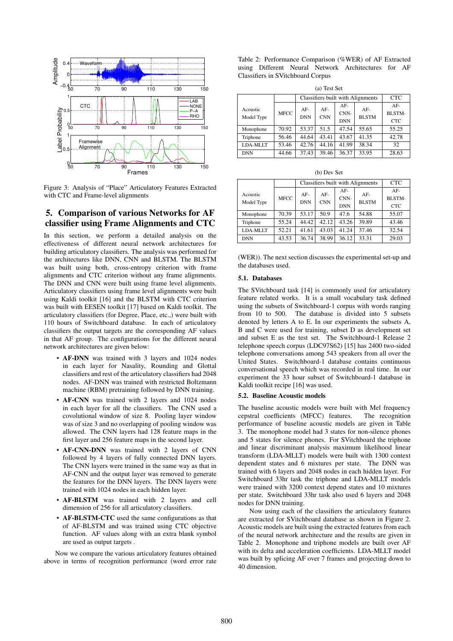

Figure 3: Analysis of "Place" Articulatory Features Extracted with CTC and Frame-level alignments

# 5. Comparison of various Networks for AF classifier using Frame Alignments and CTC

In this section, we perform a detailed analysis on the effectiveness of different neural network architectures for building articulatory classifiers. The analysis was performed for the architectures like DNN, CNN and BLSTM. The BLSTM was built using both, cross-entropy criterion with frame alignments and CTC criterion without any frame alignments. The DNN and CNN were built using frame level alignments. Articulatory classifiers using frame level alignments were built using Kaldi toolkit [16] and the BLSTM with CTC criterion was built with EESEN toolkit [17] based on Kaldi toolkit. The articulatory classifiers (for Degree, Place, etc.,) were built with 110 hours of Switchboard database. In each of articulatory classifiers the output targets are the corresponding AF values in that AF group. The configurations for the different neural network architectures are given below:

- AF-DNN was trained with 3 layers and 1024 nodes in each layer for Nasality, Rounding and Glottal classifiers and rest of the articulatory classifiers had 2048 nodes. AF-DNN was trained with restricted Boltzmann machine (RBM) pretraining followed by DNN training.
- AF-CNN was trained with 2 layers and 1024 nodes in each layer for all the classifiers. The CNN used a covolutional window of size 8. Pooling layer window was of size 3 and no overlapping of pooling window was allowed. The CNN layers had 128 feature maps in the first layer and 256 feature maps in the second layer.
- AF-CNN-DNN was trained with 2 layers of CNN followed by 4 layers of fully connected DNN layers. The CNN layers were trained in the same way as that in AF-CNN and the output layer was removed to generate the features for the DNN layers. The DNN layers were trained with 1024 nodes in each hidden layer.
- AF-BLSTM was trained with 2 layers and cell dimension of 256 for all articulatory classifiers.
- AF-BLSTM-CTC used the same configurations as that of AF-BLSTM and was trained using CTC objective function. AF values along with an extra blank symbol are used as output targets .

Now we compare the various articulatory features obtained above in terms of recognition performance (word error rate

Table 2: Performance Comparison (%WER) of AF Extracted using Different Neural Network Architectures for AF Classifiers in SVitchboard Corpus

| (a) Test Set           |       |                                   |                     |                           |                       |                               |  |
|------------------------|-------|-----------------------------------|---------------------|---------------------------|-----------------------|-------------------------------|--|
|                        |       | Classifiers built with Alignments | <b>CTC</b>          |                           |                       |                               |  |
| Acoustic<br>Model Type | MFCC  | $AF-$<br><b>DNN</b>               | $AF-$<br><b>CNN</b> | AF-<br>CNN-<br><b>DNN</b> | $AF-$<br><b>BLSTM</b> | $AF-$<br>BLSTM-<br><b>CTC</b> |  |
| Monophone              | 70.92 | 53.37                             | 51.5                | 47.54                     | 55.65                 | 55.25                         |  |
| Triphone               | 56.46 | 44.64                             | 43.41               | 43.67                     | 41.35                 | 42.78                         |  |
| LDA-MLLT               | 53.46 | 42.76                             | 44.16               | 41.99                     | 38.34                 | 32                            |  |
| <b>DNN</b>             | 44.66 | 37.43                             | 39.46               | 36.37                     | 33.95                 | 28.63                         |  |

|  | (b) Dev Set |  |
|--|-------------|--|
|--|-------------|--|

|                 |             | Classifiers built with Alignments | <b>CTC</b> |               |              |                 |
|-----------------|-------------|-----------------------------------|------------|---------------|--------------|-----------------|
| Acoustic        | <b>MFCC</b> | $AF-$                             | $AF-$      | $AF-$<br>CNN- | $AF-$        | $AF-$<br>BLSTM- |
| Model Type      |             | <b>DNN</b>                        | <b>CNN</b> | <b>DNN</b>    | <b>BLSTM</b> | <b>CTC</b>      |
| Monophone       | 70.39       | 53.17                             | 50.9       | 47.6          | 54.88        | 55.07           |
| Triphone        | 55.24       | 44.42                             | 42.12      | 43.26         | 39.89        | 43.46           |
| <b>LDA-MLLT</b> | 52.21       | 41.61                             | 43.03      | 41.24         | 37.46        | 32.54           |
| <b>DNN</b>      | 43.53       | 36.74                             | 38.99      | 36.12         | 33.31        | 29.03           |

(WER)). The next section discusses the experimental set-up and the databases used.

#### 5.1. Databases

The SVitchboard task [14] is commonly used for articulatory feature related works. It is a small vocabulary task defined using the subsets of Switchboard-1 corpus with words ranging from 10 to 500. The database is divided into 5 subsets denoted by letters A to E. In our experiments the subsets A, B and C were used for training, subset D as development set and subset E as the test set. The Switchboard-1 Release 2 telephone speech corpus (LDC97S62) [15] has 2400 two-sided telephone conversations among 543 speakers from all over the United States. Switchboard-1 database contains continuous conversational speech which was recorded in real time. In our experiment the 33 hour subset of Switchboard-1 database in Kaldi toolkit recipe [16] was used.

#### 5.2. Baseline Acoustic models

The baseline acoustic models were built with Mel frequency cepstral coefficients (MFCC) features. The recognition performance of baseline acoustic models are given in Table 3. The monophone model had 3 states for non-silence phones and 5 states for silence phones. For SVitchboard the triphone and linear discriminant analysis maximum likelihood linear transform (LDA-MLLT) models were built with 1300 context dependent states and 6 mixtures per state. The DNN was trained with 6 layers and 2048 nodes in each hidden layer. For Switchboard 33hr task the triphone and LDA-MLLT models were trained with 3200 context depend states and 10 mixtures per state. Switchboard 33hr task also used 6 layers and 2048 nodes for DNN training.

Now using each of the classifiers the articulatory features are extracted for SVitchboard database as shown in Figure 2. Acoustic models are built using the extracted features from each of the neural network architecture and the results are given in Table 2. Monophone and triphone models are built over AF with its delta and acceleration coefficients. LDA-MLLT model was built by splicing AF over 7 frames and projecting down to 40 dimension.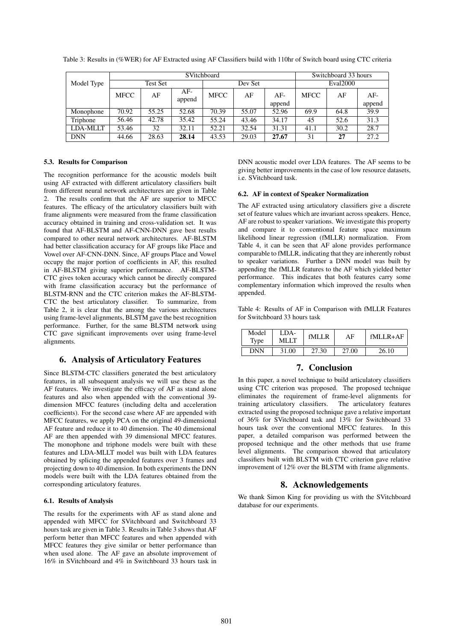|            | SVitchboard |       |                 |             |       |        |             | Switchboard 33 hours |        |  |
|------------|-------------|-------|-----------------|-------------|-------|--------|-------------|----------------------|--------|--|
| Model Type | Test Set    |       |                 | Dev Set     |       |        | Eval2000    |                      |        |  |
|            | <b>MFCC</b> | AF    | $AF-$<br>append | <b>MFCC</b> | AF    | AF-    | <b>MFCC</b> | AF                   | $AF-$  |  |
|            |             |       |                 |             |       | append |             |                      | append |  |
| Monophone  | 70.92       | 55.25 | 52.68           | 70.39       | 55.07 | 52.96  | 69.9        | 64.8                 | 39.9   |  |
| Triphone   | 56.46       | 42.78 | 35.42           | 55.24       | 43.46 | 34.17  | 45          | 52.6                 | 31.3   |  |
| LDA-MLLT   | 53.46       | 32    | 32.11           | 52.21       | 32.54 | 31.31  | 41.1        | 30.2                 | 28.7   |  |
| <b>DNN</b> | 44.66       | 28.63 | 28.14           | 43.53       | 29.03 | 27.67  | 31          | 27                   | 27.2   |  |

Table 3: Results in (%WER) for AF Extracted using AF Classifiers build with 110hr of Switch board using CTC criteria

#### 5.3. Results for Comparison

The recognition performance for the acoustic models built using AF extracted with different articulatory classifiers built from different neural network architectures are given in Table 2. The results confirm that the AF are superior to MFCC features. The efficacy of the articulatory classifiers built with frame alignments were measured from the frame classification accuracy obtained in training and cross-validation set. It was found that AF-BLSTM and AF-CNN-DNN gave best results compared to other neural network architectures. AF-BLSTM had better classification accuracy for AF groups like Place and Vowel over AF-CNN-DNN. Since, AF groups Place and Vowel occupy the major portion of coefficients in AF, this resulted in AF-BLSTM giving superior performance. AF-BLSTM-CTC gives token accuracy which cannot be directly compared with frame classification accuracy but the performance of BLSTM-RNN and the CTC criterion makes the AF-BLSTM-CTC the best articulatory classifier. To summarize, from Table 2, it is clear that the among the various architectures using frame-level alignments, BLSTM gave the best recognition performance. Further, for the same BLSTM network using CTC gave significant improvements over using frame-level alignments.

# 6. Analysis of Articulatory Features

Since BLSTM-CTC classifiers generated the best articulatory features, in all subsequent analysis we will use these as the AF features. We investigate the efficacy of AF as stand alone features and also when appended with the conventional 39 dimension MFCC features (including delta and acceleration coefficients). For the second case where AF are appended with MFCC features, we apply PCA on the original 49-dimensional AF feature and reduce it to 40 dimension. The 40 dimensional AF are then appended with 39 dimensional MFCC features. The monophone and triphone models were built with these features and LDA-MLLT model was built with LDA features obtained by splicing the appended features over 3 frames and projecting down to 40 dimension. In both experiments the DNN models were built with the LDA features obtained from the corresponding articulatory features.

#### 6.1. Results of Analysis

The results for the experiments with AF as stand alone and appended with MFCC for SVitchboard and Switchboard 33 hours task are given in Table 3. Results in Table 3 shows that AF perform better than MFCC features and when appended with MFCC features they give similar or better performance than when used alone. The AF gave an absolute improvement of 16% in SVitchboard and 4% in Switchboard 33 hours task in DNN acoustic model over LDA features. The AF seems to be giving better improvements in the case of low resource datasets, i.e. SVitchboard task.

#### 6.2. AF in context of Speaker Normalization

The AF extracted using articulatory classifiers give a discrete set of feature values which are invariant across speakers. Hence, AF are robust to speaker variations. We investigate this property and compare it to conventional feature space maximum likelihood linear regression (fMLLR) normalization. From Table 4, it can be seen that AF alone provides performance comparable to fMLLR, indicating that they are inherently robust to speaker variations. Further a DNN model was built by appending the fMLLR features to the AF which yielded better performance. This indicates that both features carry some complementary information which improved the results when appended.

Table 4: Results of AF in Comparison with fMLLR Features for Switchboard 33 hours task

| Model<br>Type | LDA-<br>MLLT | fMI J.R | AF    | $fMIJ.R+AF$ |
|---------------|--------------|---------|-------|-------------|
| DNN           | 31.00        | 27.30   | 27.00 | 26.10       |

# 7. Conclusion

In this paper, a novel technique to build articulatory classifiers using CTC criterion was proposed. The proposed technique eliminates the requirement of frame-level alignments for training articulatory classifiers. The articulatory features extracted using the proposed technique gave a relative important of 36% for SVitchboard task and 13% for Switchboard 33 hours task over the conventional MFCC features. In this paper, a detailed comparison was performed between the proposed technique and the other methods that use frame level alignments. The comparison showed that articulatory classifiers built with BLSTM with CTC criterion gave relative improvement of 12% over the BLSTM with frame alignments.

# 8. Acknowledgements

We thank Simon King for providing us with the SVitchboard database for our experiments.